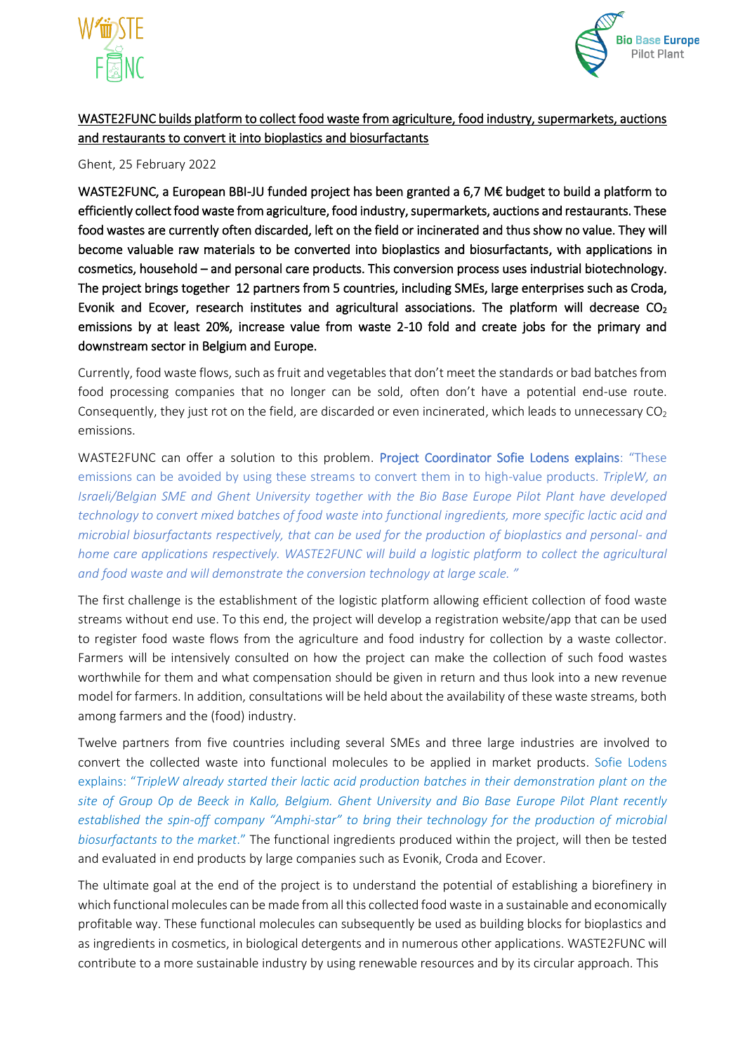



## WASTE2FUNC builds platform to collect food waste from agriculture, food industry, supermarkets, auctions and restaurants to convert it into bioplastics and biosurfactants

## Ghent, 25 February 2022

WASTE2FUNC, a European BBI-JU funded project has been granted a 6,7 M€ budget to build a platform to efficiently collect food waste from agriculture, food industry, supermarkets, auctions and restaurants. These food wastes are currently often discarded, left on the field or incinerated and thus show no value. They will become valuable raw materials to be converted into bioplastics and biosurfactants, with applications in cosmetics, household – and personal care products. This conversion process uses industrial biotechnology. The project brings together 12 partners from 5 countries, including SMEs, large enterprises such as Croda, Evonik and Ecover, research institutes and agricultural associations. The platform will decrease CO<sub>2</sub> emissions by at least 20%, increase value from waste 2-10 fold and create jobs for the primary and downstream sector in Belgium and Europe.

Currently, food waste flows, such as fruit and vegetables that don't meet the standards or bad batches from food processing companies that no longer can be sold, often don't have a potential end-use route. Consequently, they just rot on the field, are discarded or even incinerated, which leads to unnecessary  $CO<sub>2</sub>$ emissions.

WASTE2FUNC can offer a solution to this problem. Project Coordinator Sofie Lodens explains: "These emissions can be avoided by using these streams to convert them in to high-value products. *TripleW, an Israeli/Belgian SME and Ghent University together with the Bio Base Europe Pilot Plant have developed technology to convert mixed batches of food waste into functional ingredients, more specific lactic acid and microbial biosurfactants respectively, that can be used for the production of bioplastics and personal- and home care applications respectively. WASTE2FUNC will build a logistic platform to collect the agricultural and food waste and will demonstrate the conversion technology at large scale. "*

The first challenge is the establishment of the logistic platform allowing efficient collection of food waste streams without end use. To this end, the project will develop a registration website/app that can be used to register food waste flows from the agriculture and food industry for collection by a waste collector. Farmers will be intensively consulted on how the project can make the collection of such food wastes worthwhile for them and what compensation should be given in return and thus look into a new revenue model for farmers. In addition, consultations will be held about the availability of these waste streams, both among farmers and the (food) industry.

Twelve partners from five countries including several SMEs and three large industries are involved to convert the collected waste into functional molecules to be applied in market products. Sofie Lodens explains: "*TripleW already started their lactic acid production batches in their demonstration plant on the site of Group Op de Beeck in Kallo, Belgium. Ghent University and Bio Base Europe Pilot Plant recently established the spin-off company "Amphi-star" to bring their technology for the production of microbial biosurfactants to the market*." The functional ingredients produced within the project, will then be tested and evaluated in end products by large companies such as Evonik, Croda and Ecover.

The ultimate goal at the end of the project is to understand the potential of establishing a biorefinery in which functional molecules can be made from all this collected food waste in a sustainable and economically profitable way. These functional molecules can subsequently be used as building blocks for bioplastics and as ingredients in cosmetics, in biological detergents and in numerous other applications. WASTE2FUNC will contribute to a more sustainable industry by using renewable resources and by its circular approach. This